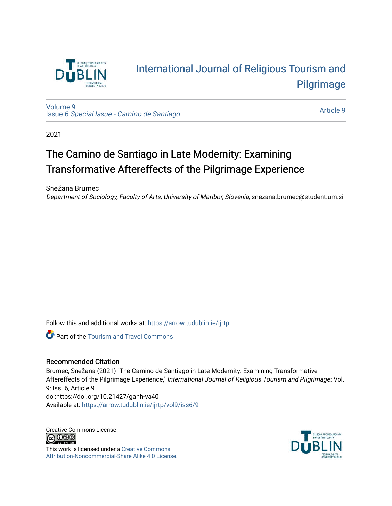

# [International Journal of Religious Tourism and](https://arrow.tudublin.ie/ijrtp)  [Pilgrimage](https://arrow.tudublin.ie/ijrtp)

[Volume 9](https://arrow.tudublin.ie/ijrtp/vol9) Issue 6 [Special Issue - Camino de Santiago](https://arrow.tudublin.ie/ijrtp/vol9/iss6)

[Article 9](https://arrow.tudublin.ie/ijrtp/vol9/iss6/9) 

2021

## The Camino de Santiago in Late Modernity: Examining Transformative After effects of the Pilgrimage Experience

Snežana Brumec

Department of Sociology, Faculty of Arts, University of Maribor, Slovenia, snezana.brumec@student.um.si

Follow this and additional works at: [https://arrow.tudublin.ie/ijrtp](https://arrow.tudublin.ie/ijrtp?utm_source=arrow.tudublin.ie%2Fijrtp%2Fvol9%2Fiss6%2F9&utm_medium=PDF&utm_campaign=PDFCoverPages)

**Part of the [Tourism and Travel Commons](http://network.bepress.com/hgg/discipline/1082?utm_source=arrow.tudublin.ie%2Fijrtp%2Fvol9%2Fiss6%2F9&utm_medium=PDF&utm_campaign=PDFCoverPages)** 

#### Recommended Citation

Brumec, Snežana (2021) "The Camino de Santiago in Late Modernity: Examining Transformative Aftereffects of the Pilgrimage Experience," International Journal of Religious Tourism and Pilgrimage: Vol. 9: Iss. 6, Article 9. doi:https://doi.org/10.21427/ganh-va40 Available at: [https://arrow.tudublin.ie/ijrtp/vol9/iss6/9](https://arrow.tudublin.ie/ijrtp/vol9/iss6/9?utm_source=arrow.tudublin.ie%2Fijrtp%2Fvol9%2Fiss6%2F9&utm_medium=PDF&utm_campaign=PDFCoverPages)

Creative Commons License **@** 000

This work is licensed under a [Creative Commons](https://creativecommons.org/licenses/by-nc-sa/4.0/) [Attribution-Noncommercial-Share Alike 4.0 License](https://creativecommons.org/licenses/by-nc-sa/4.0/).

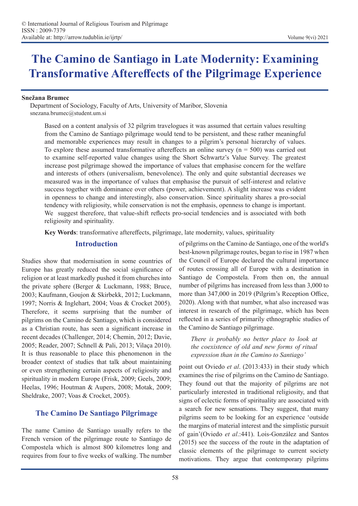# **The Camino de Santiago in Late Modernity: Examining Transformative Aftereffects of the Pilgrimage Experience**

#### **Snežana Brumec**

Department of Sociology, Faculty of Arts, University of Maribor, Slovenia snezana.brumec@student.um.si

Based on a content analysis of 32 pilgrim travelogues it was assumed that certain values resulting from the Camino de Santiago pilgrimage would tend to be persistent, and these rather meaningful and memorable experiences may result in changes to a pilgrim's personal hierarchy of values. To explore these assumed transformative aftereffects an online survey  $(n = 500)$  was carried out to examine self-reported value changes using the Short Schwartz's Value Survey. The greatest increase post pilgrimage showed the importance of values that emphasise concern for the welfare and interests of others (universalism, benevolence). The only and quite substantial decreases we measured was in the importance of values that emphasise the pursuit of self-interest and relative success together with dominance over others (power, achievement). A slight increase was evident in openness to change and interestingly, also conservation. Since spirituality shares a pro-social tendency with religiosity, while conservation is not the emphasis, openness to change is important. We suggest therefore, that value-shift reflects pro-social tendencies and is associated with both religiosity and spirituality.

**Key Words**: transformative aftereffects, pilgrimage, late modernity, values, spirituality

#### **Introduction**

Studies show that modernisation in some countries of Europe has greatly reduced the social significance of religion or at least markedly pushed it from churches into the private sphere (Berger & Luckmann, 1988; Bruce, 2003; Kaufmann, Goujon & Skirbekk, 2012; Luckmann, 1997; Norris & Inglehart, 2004; Voas & Crocket 2005). Therefore, it seems surprising that the number of pilgrims on the Camino de Santiago, which is considered as a Christian route, has seen a significant increase in recent decades (Challenger, 2014; Chemin, 2012; Davie, 2005; Reader, 2007; Schnell & Pali, 2013; Vilaça 2010). It is thus reasonable to place this phenomenon in the broader context of studies that talk about maintaining or even strengthening certain aspects of religiosity and spirituality in modern Europe (Frisk, 2009; Geels, 2009; Heelas, 1996; Houtman & Aupers, 2008; Motak, 2009; Sheldrake, 2007; Voas & Crocket, 2005).

## **The Camino De Santiago Pilgrimage**

The name Camino de Santiago usually refers to the French version of the pilgrimage route to Santiago de Compostela which is almost 800 kilometres long and requires from four to five weeks of walking. The number

of pilgrims on the Camino de Santiago, one of the world's best-known pilgrimage routes, began to rise in 1987 when the Council of Europe declared the cultural importance of routes crossing all of Europe with a destination in Santiago de Compostela. From then on, the annual number of pilgrims has increased from less than 3,000 to more than 347,000 in 2019 (Pilgrim's Reception Office, 2020). Along with that number, what also increased was interest in research of the pilgrimage, which has been reflected in a series of primarily ethnographic studies of the Camino de Santiago pilgrimage.

*There is probably no better place to look at the coexistence of old and new forms of ritual expression than in the Camino to Santiago'* 

point out Oviedo *et al*. (2013:433) in their study which examines the rise of pilgrims on the Camino de Santiago. They found out that the majority of pilgrims are not particularly interested in traditional religiosity, and that signs of eclectic forms of spirituality are associated with a search for new sensations. They suggest, that many pilgrims seem to be looking for an experience 'outside the margins of material interest and the simplistic pursuit of gain'(Oviedo *et al*.:441). Lois-González and Santos (2015) see the success of the route in the adaptation of classic elements of the pilgrimage to current society motivations. They argue that contemporary pilgrims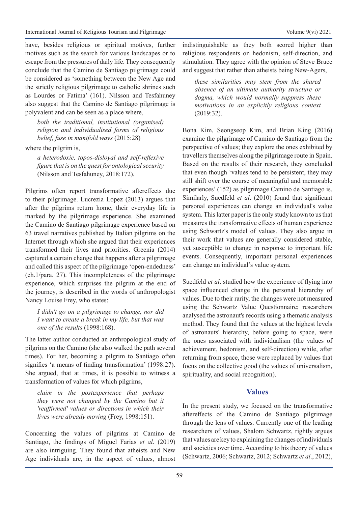have, besides religious or spiritual motives, further motives such as the search for various landscapes or to escape from the pressures of daily life. They consequently conclude that the Camino de Santiago pilgrimage could be considered as 'something between the New Age and the strictly religious pilgrimage to catholic shrines such as Lourdes or Fatima' (161). Nilsson and Tesfahuney also suggest that the Camino de Santiago pilgrimage is polyvalent and can be seen as a place where,

*both the traditional, institutional (organised) religion and individualised forms of religious belief, fuse in manifold ways* (2015:28)

where the pilgrim is,

*a heterodoxic, topos-disloyal and self-reflexive figure that is on the quest for ontological security*  (Nilsson and Tesfahuney, 2018:172).

Pilgrims often report transformative aftereffects due to their pilgrimage. Lucrezia Lopez (2013) argues that after the pilgrims return home, their everyday life is marked by the pilgrimage experience. She examined the Camino de Santiago pilgrimage experience based on 63 travel narratives published by Italian pilgrims on the Internet through which she argued that their experiences transformed their lives and priorities. Greenia (2014) captured a certain change that happens after a pilgrimage and called this aspect of the pilgrimage 'open-endedness' (ch.1/para. 27). This incompleteness of the pilgrimage experience, which surprises the pilgrim at the end of the journey, is described in the words of anthropologist Nancy Louise Frey, who states:

*I didn't go on a pilgrimage to change, nor did I want to create a break in my life, but that was one of the results* (1998:168).

The latter author conducted an anthropological study of pilgrims on the Camino (she also walked the path several times). For her, becoming a pilgrim to Santiago often signifies 'a means of finding transformation' (1998:27). She argued, that at times, it is possible to witness a transformation of values for which pilgrims,

*claim in the postexperience that perhaps they were not changed by the Camino but it 'reaffirmed' values or directions in which their lives were already moving* (Frey, 1998:151).

Concerning the values of pilgrims at Camino de Santiago, the findings of Miguel Farias *et al*. (2019) are also intriguing. They found that atheists and New Age individuals are, in the aspect of values, almost indistinguishable as they both scored higher than religious respondents on hedonism, self-direction, and stimulation. They agree with the opinion of Steve Bruce and suggest that rather than atheists being New-Agers,

*these similarities may stem from the shared absence of an ultimate authority structure or dogma, which would normally suppress these motivations in an explicitly religious context*  (2019:32).

Bona Kim, Seongseop Kim, and Brian King (2016) examine the pilgrimage of Camino de Santiago from the perspective of values; they explore the ones exhibited by travellers themselves along the pilgrimage route in Spain. Based on the results of their research, they concluded that even though 'values tend to be persistent, they may still shift over the course of meaningful and memorable experiences' (152) as pilgrimage Camino de Santiago is. Similarly, Suedfeld *et al*. (2010) found that significant personal experiences can change an individual's value system. This latter paper is the only study known to us that measures the transformative effects of human experience using Schwartz's model of values. They also argue in their work that values are generally considered stable, yet susceptible to change in response to important life events. Consequently, important personal experiences can change an individual's value system.

Suedfeld *et al*. studied how the experience of flying into space influenced change in the personal hierarchy of values. Due to their rarity, the changes were not measured using the Schwartz Value Questionnaire; researchers analysed the astronaut's records using a thematic analysis method. They found that the values at the highest levels of astronauts' hierarchy, before going to space, were the ones associated with individualism (the values of achievement, hedonism, and self-direction) while, after returning from space, those were replaced by values that focus on the collective good (the values of universalism, spirituality, and social recognition).

## **Values**

In the present study, we focused on the transformative aftereffects of the Camino de Santiago pilgrimage through the lens of values. Currently one of the leading researchers of values, Shalom Schwartz, rightly argues that values are key to explaining the changes of individuals and societies over time. According to his theory of values (Schwartz, 2006; Schwartz, 2012; Schwartz *et al*., 2012),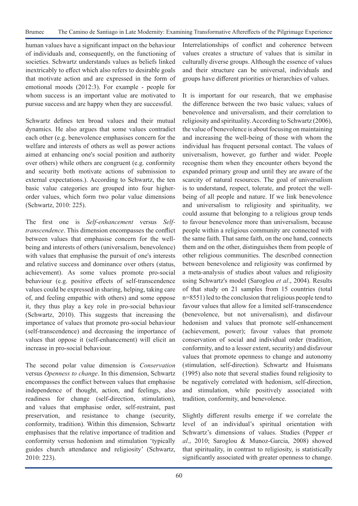human values have a significant impact on the behaviour of individuals and, consequently, on the functioning of societies. Schwartz understands values as beliefs linked inextricably to effect which also refers to desirable goals that motivate action and are expressed in the form of emotional moods (2012:3). For example - people for whom success is an important value are motivated to pursue success and are happy when they are successful.

Schwartz defines ten broad values and their mutual dynamics. He also argues that some values contradict each other (e.g. benevolence emphasises concern for the welfare and interests of others as well as power actions aimed at enhancing one's social position and authority over others) while others are congruent (e.g. conformity and security both motivate actions of submission to external expectations.). According to Schwartz, the ten basic value categories are grouped into four higherorder values, which form two polar value dimensions (Schwartz, 2010: 225).

The first one is *Self-enhancement* versus *Selftranscendence*. This dimension encompasses the conflict between values that emphasise concern for the wellbeing and interests of others (universalism, benevolence) with values that emphasise the pursuit of one's interests and relative success and dominance over others (status, achievement). As some values promote pro-social behaviour (e.g. positive effects of self-transcendence values could be expressed in sharing, helping, taking care of, and feeling empathic with others) and some oppose it, they thus play a key role in pro-social behaviour (Schwartz, 2010). This suggests that increasing the importance of values that promote pro-social behaviour (self-transcendence) and decreasing the importance of values that oppose it (self-enhancement) will elicit an increase in pro-social behaviour.

The second polar value dimension is *Conservation*  versus *Openness to change*. In this dimension, Schwartz encompasses the conflict between values that emphasise independence of thought, action, and feelings, also readiness for change (self-direction, stimulation), and values that emphasise order, self-restraint, past preservation, and resistance to change (security, conformity, tradition). Within this dimension, Schwartz emphasises that the relative importance of tradition and conformity versus hedonism and stimulation 'typically guides church attendance and religiosity' (Schwartz, 2010: 223).

Interrelationships of conflict and coherence between values creates a structure of values that is similar in culturally diverse groups. Although the essence of values and their structure can be universal, individuals and groups have different priorities or hierarchies of values.

It is important for our research, that we emphasise the difference between the two basic values; values of benevolence and universalism, and their correlation to religiosity and spirituality. According to Schwartz (2006), the value of benevolence is about focusing on maintaining and increasing the well-being of those with whom the individual has frequent personal contact. The values of universalism, however, go further and wider. People recognise them when they encounter others beyond the expanded primary group and until they are aware of the scarcity of natural resources. The goal of universalism is to understand, respect, tolerate, and protect the wellbeing of all people and nature. If we link benevolence and universalism to religiosity and spirituality, we could assume that belonging to a religious group tends to favour benevolence more than universalism, because people within a religious community are connected with the same faith. That same faith, on the one hand, connects them and on the other, distinguishes them from people of other religious communities. The described connection between benevolence and religiosity was confirmed by a meta-analysis of studies about values and religiosity using Schwartz's model (Saroglou *et al*., 2004). Results of that study on 21 samples from 15 countries (total n=8551) led to the conclusion that religious people tend to favour values that allow for a limited self-transcendence (benevolence, but not universalism), and disfavour hedonism and values that promote self-enhancement (achievement, power); favour values that promote conservation of social and individual order (tradition, conformity, and to a lesser extent, security) and disfavour values that promote openness to change and autonomy (stimulation, self-direction). Schwartz and Huismans (1995) also note that several studies found religiosity to be negatively correlated with hedonism, self-direction, and stimulation, while positively associated with tradition, conformity, and benevolence.

Slightly different results emerge if we correlate the level of an individual's spiritual orientation with Schwartz's dimensions of values. Studies (Pepper *et al*., 2010; Saroglou & Munoz-Garcia, 2008) showed that spirituality, in contrast to religiosity, is statistically significantly associated with greater openness to change.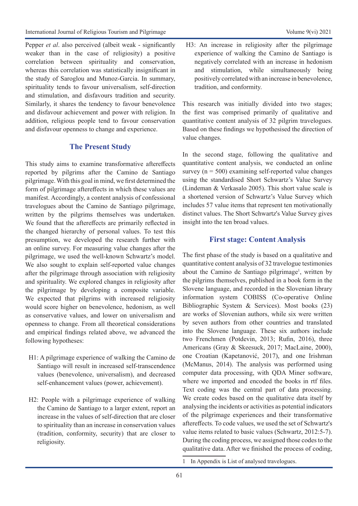Pepper *et al.* also perceived (albeit weak - significantly weaker than in the case of religiosity) a positive correlation between spirituality and conservation, whereas this correlation was statistically insignificant in the study of Saroglou and Munoz-Garcia. In summary, spirituality tends to favour universalism, self-direction and stimulation, and disfavours tradition and security. Similarly, it shares the tendency to favour benevolence and disfavour achievement and power with religion. In addition, religious people tend to favour conservation and disfavour openness to change and experience.

## **The Present Study**

This study aims to examine transformative aftereffects reported by pilgrims after the Camino de Santiago pilgrimage. With this goal in mind, we first determined the form of pilgrimage aftereffects in which these values are manifest. Accordingly, a content analysis of confessional travelogues about the Camino de Santiago pilgrimage, written by the pilgrims themselves was undertaken. We found that the aftereffects are primarily reflected in the changed hierarchy of personal values. To test this presumption, we developed the research further with an online survey. For measuring value changes after the pilgrimage, we used the well-known Schwartz's model. We also sought to explain self-reported value changes after the pilgrimage through association with religiosity and spirituality. We explored changes in religiosity after the pilgrimage by developing a composite variable. We expected that pilgrims with increased religiosity would score higher on benevolence, hedonism, as well as conservative values, and lower on universalism and openness to change. From all theoretical considerations and empirical findings related above, we advanced the following hypotheses:

- H1: A pilgrimage experience of walking the Camino de Santiago will result in increased self-transcendence values (benevolence, universalism), and decreased self-enhancement values (power, achievement).
- H2: People with a pilgrimage experience of walking the Camino de Santiago to a larger extent, report an increase in the values of self-direction that are closer to spirituality than an increase in conservation values (tradition, conformity, security) that are closer to religiosity.

H3: An increase in religiosity after the pilgrimage experience of walking the Camino de Santiago is negatively correlated with an increase in hedonism and stimulation, while simultaneously being positively correlated with an increase in benevolence, tradition, and conformity.

This research was initially divided into two stages; the first was comprised primarily of qualitative and quantitative content analysis of 32 pilgrim travelogues. Based on these findings we hypothesised the direction of value changes.

In the second stage, following the qualitative and quantitative content analysis, we conducted an online survey ( $n = 500$ ) examining self-reported value changes using the standardised Short Schwartz's Value Survey (Lindeman & Verkasalo 2005). This short value scale is a shortened version of Schwartz's Value Survey which includes 57 value items that represent ten motivationally distinct values. The Short Schwartz's Value Survey gives insight into the ten broad values.

## **First stage: Content Analysis**

The first phase of the study is based on a qualitative and quantitative content analysis of 32 travelogue testimonies about the Camino de Santiago pilgrimage<sup>1</sup>, written by the pilgrims themselves, published in a book form in the Slovene language, and recorded in the Slovenian library information system COBISS (Co-operative Online Bibliographic System & Services). Most books (23) are works of Slovenian authors, while six were written by seven authors from other countries and translated into the Slovene language. These six authors include two Frenchmen (Potdevin, 2013; Rufin, 2016), three Americans (Gray & Skeesuck, 2017; MacLaine, 2000), one Croatian (Kapetanović, 2017), and one Irishman (McManus, 2014). The analysis was performed using computer data processing, with QDA Miner software, where we imported and encoded the books in rtf files. Text coding was the central part of data processing. We create codes based on the qualitative data itself by analysing the incidents or activities as potential indicators of the pilgrimage experiences and their transformative aftereffects. To code values, we used the set of Schwartz's value items related to basic values (Schwartz, 2012:5-7). During the coding process, we assigned those codes to the qualitative data. After we finished the process of coding,

<sup>1</sup> In Appendix is List of analysed travelogues.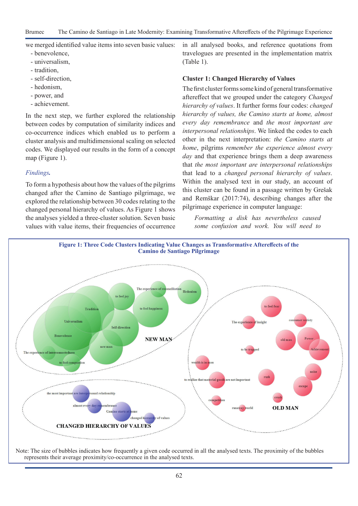Brumec The Camino de Santiago in Late Modernity: Examining Transformative Aftereffects of the Pilgrimage Experience

we merged identified value items into seven basic values:

- benevolence,
- universalism,
- tradition,
- self-direction,
- hedonism,
- power, and
- achievement.

In the next step, we further explored the relationship between codes by computation of similarity indices and co-occurrence indices which enabled us to perform a cluster analysis and multidimensional scaling on selected codes. We displayed our results in the form of a concept map (Figure 1).

### *Findings.*

To form a hypothesis about how the values of the pilgrims changed after the Camino de Santiago pilgrimage, we explored the relationship between 30 codes relating to the changed personal hierarchy of values. As Figure 1 shows the analyses yielded a three-cluster solution. Seven basic values with value items, their frequencies of occurrence in all analysed books, and reference quotations from travelogues are presented in the implementation matrix (Table 1).

#### **Cluster 1: Changed Hierarchy of Values**

The first cluster forms some kind of general transformative aftereffect that we grouped under the category *Changed hierarchy of values*. It further forms four codes: *changed hierarchy of values, the Camino starts at home, almost every day remembrance* and *the most important are interpersonal relationships*. We linked the codes to each other in the next interpretation: *the Camino starts at home*, pilgrims *remember the experience almost every day* and that experience brings them a deep awareness that *the most important are interpersonal relationships* that lead to a *changed personal hierarchy of values*. Within the analysed text in our study, an account of this cluster can be found in a passage written by Grešak and Remškar (2017:74), describing changes after the pilgrimage experience in computer language:

*Formatting a disk has nevertheless caused some confusion and work. You will need to* 



Note: The size of bubbles indicates how frequently a given code occurred in all the analysed texts. The proximity of the bubbles represents their average proximity/co-occurrence in the analysed texts.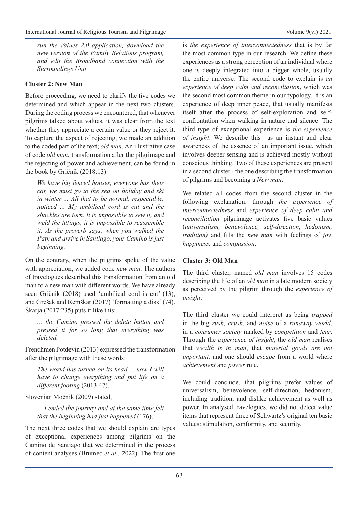*run the Values 2.0 application, download the new version of the Family Relations program, and edit the Broadband connection with the Surroundings Unit.*

## **Cluster 2: New Man**

Before proceeding, we need to clarify the five codes we determined and which appear in the next two clusters. During the coding process we encountered, that whenever pilgrims talked about values, it was clear from the text whether they appreciate a certain value or they reject it. To capture the aspect of rejecting, we made an addition to the coded part of the text; *old man*. An illustrative case of code *old man*, transformation after the pilgrimage and the rejecting of power and achievement, can be found in the book by Gričnik (2018:13):

*We have big fenced houses, everyone has their car, we must go to the sea on holiday and ski in winter ... All that to be normal, respectable, noticed ... My umbilical cord is cut and the shackles are torn. It is impossible to sew it, and weld the fittings, it is impossible to reassemble it. As the proverb says, when you walked the Path and arrive in Santiago, your Camino is just beginning.* 

On the contrary, when the pilgrims spoke of the value with appreciation, we added code *new man*. The authors of travelogues described this transformation from an old man to a new man with different words. We have already seen Gričnik (2018) used 'umbilical cord is cut' (13), and Grešak and Remškar (2017) 'formatting a disk' (74). Škarja (2017:235) puts it like this:

*... the Camino pressed the delete button and pressed it for so long that everything was deleted.* 

Frenchmen Potdevin (2013) expressed the transformation after the pilgrimage with these words:

*The world has turned on its head ... now I will have to change everything and put life on a different footing* (2013:47).

Slovenian Močnik (2009) stated,

*... I ended the journey and at the same time felt that the beginning had just happened* (176).

The next three codes that we should explain are types of exceptional experiences among pilgrims on the Camino de Santiago that we determined in the process of content analyses (Brumec *et al*., 2022). The first one is *the experience of interconnectedness* that is by far the most common type in our research. We define these experiences as a strong perception of an individual where one is deeply integrated into a bigger whole, usually the entire universe. The second code to explain is *an experience of deep calm and reconciliation*, which was the second most common theme in our typology. It is an experience of deep inner peace, that usually manifests itself after the process of self-exploration and selfconfrontation when walking in nature and silence. The third type of exceptional experience is *the experience of insight*. We describe this as an instant and clear awareness of the essence of an important issue, which involves deeper sensing and is achieved mostly without conscious thinking. Two of these experiences are present in a second cluster - the one describing the transformation of pilgrims and becoming a *New man*.

We related all codes from the second cluster in the following explanation: through *the experience of interconnectedness* and *experience of deep calm and reconciliation* pilgrimage activates five basic values (*universalism, benevolence, self-direction*, *hedonism, tradition)* and fills the *new man* with feelings of *joy, happiness,* and *compassion*.

## **Cluster 3: Old Man**

The third cluster, named *old man* involves 15 codes describing the life of an *old man* in a late modern society as perceived by the pilgrim through the *experience of insight*.

The third cluster we could interpret as being *trapped* in the big *rush, crush*, and *noise* of a *runaway world*, in a *consumer society* marked by *competition* and *fear*. Through the *experience of insight*, the *old man* realises that *wealth is in man*, that *material goods are not important,* and one should *escape* from a world where *achievement* and *power* rule.

We could conclude, that pilgrims prefer values of universalism, benevolence, self-direction, hedonism, including tradition, and dislike achievement as well as power. In analysed travelogues, we did not detect value items that represent three of Schwartz's original ten basic values: stimulation, conformity, and security.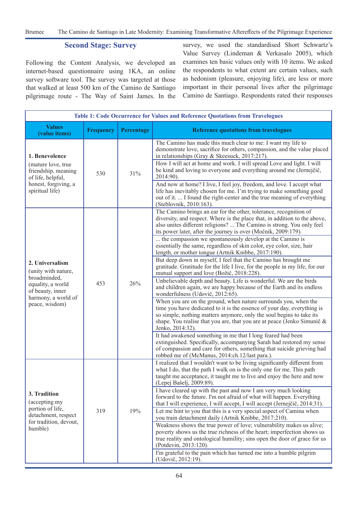Brumec The Camino de Santiago in Late Modernity: Examining Transformative Aftereffects of the Pilgrimage Experience

#### **Second Stage: Survey**

Following the Content Analysis, we developed an internet-based questionnaire using 1KA, an online survey software tool. The survey was targeted at those that walked at least 500 km of the Camino de Santiago pilgrimage route - The Way of Saint James. In the survey, we used the standardised Short Schwartz's Value Survey (Lindeman & Verkasalo 2005), which examines ten basic values only with 10 items. We asked the respondents to what extent are certain values, such as hedonism (pleasure, enjoying life), are less or more important in their personal lives after the pilgrimage Camino de Santiago. Respondents rated their responses

| Table 1: Code Occurrence for Values and Reference Quotations from Travelogues                                                            |                  |            |                                                                                                                                                                                                                                                                                                                                                                                                                                                                                                                                                                                    |  |  |
|------------------------------------------------------------------------------------------------------------------------------------------|------------------|------------|------------------------------------------------------------------------------------------------------------------------------------------------------------------------------------------------------------------------------------------------------------------------------------------------------------------------------------------------------------------------------------------------------------------------------------------------------------------------------------------------------------------------------------------------------------------------------------|--|--|
| <b>Values</b><br>(value items)                                                                                                           | <b>Frequency</b> | Percentage | <b>Reference quotations from travelogues</b>                                                                                                                                                                                                                                                                                                                                                                                                                                                                                                                                       |  |  |
| 1. Benevolence<br>(mature love, true<br>friendship, meaning<br>of life, helpful,<br>honest, forgiving, a<br>spiritual life)              | 530              | 31%        | The Camino has made this much clear to me: I want my life to<br>demonstrate love, sacrifice for others, compassion, and the value placed<br>in relationships (Gray & Skeesuck, 2017:217).<br>How I will act at home and work. I will spread Love and light. I will<br>be kind and loving to everyone and everything around me (Jernejčič,<br>2014:90).<br>And now at home? I live, I feel joy, freedom, and love. I accept what<br>life has inevitably chosen for me. I'm trying to make something good<br>out of it.  I found the right-center and the true meaning of everything |  |  |
| 2. Universalism<br>(unity with nature,<br>broadminded,<br>equality, a world<br>of beauty, inner<br>harmony, a world of<br>peace, wisdom) | 453              | 26%        | (Steblovnik, 2010:163).<br>The Camino brings an ear for the other, tolerance, recognition of<br>diversity, and respect. Where is the place that, in addition to the above,<br>also unites different religions?  The Camino is strong. You only feel<br>its power later, after the journey is over (Močnik, 2009:179).                                                                                                                                                                                                                                                              |  |  |
|                                                                                                                                          |                  |            | the compassion we spontaneously develop at the $\overline{\text{Camino}}$ is<br>essentially the same, regardless of skin color, eye color, size, hair<br>length, or mother tongue (Artnik Knibbe, 2017:190).                                                                                                                                                                                                                                                                                                                                                                       |  |  |
|                                                                                                                                          |                  |            | But deep down in myself, I feel that the Camino has brought me<br>gratitude. Gratitude for the life I live, for the people in my life, for our<br>mutual support and love (Božič, 2018:228).                                                                                                                                                                                                                                                                                                                                                                                       |  |  |
|                                                                                                                                          |                  |            | Unbelievable depth and beauty. Life is wonderful. We are the birds<br>and children again, we are happy because of the Earth and its endless<br>wonderfulness (Udovič, 2012:65).                                                                                                                                                                                                                                                                                                                                                                                                    |  |  |
|                                                                                                                                          |                  |            | When you are on the ground, when nature surrounds you, when the<br>time you have dedicated to it is the essence of your day, everything is<br>so simple, nothing matters anymore, only the soul begins to take its<br>shape. You realise that you are, that you are at peace (Jenko Simunič &<br>Jenko, 2014:32).                                                                                                                                                                                                                                                                  |  |  |
|                                                                                                                                          |                  |            | It had awakened something in me that I long feared had been<br>extinguished. Specifically, accompanying Sarah had restored my sense<br>of compassion and care for others, something that suicide grieving had<br>robbed me of (McManus, 2014:ch.12/last para.).                                                                                                                                                                                                                                                                                                                    |  |  |
| 3. Tradition<br>(accepting my<br>portion of life,<br>detachment, respect<br>for tradition, devout,<br>humble)                            | 319              | 19%        | I realized that I wouldn't want to be living significantly different from<br>what I do, that the path I walk on is the only one for me. This path<br>taught me acceptance, it taught me to live and enjoy the here and now<br>(Lepej Bašelj, 2009:89).                                                                                                                                                                                                                                                                                                                             |  |  |
|                                                                                                                                          |                  |            | I have cleared up with the past and now I am very much looking<br>forward to the future. I'm not afraid of what will happen. Everything<br>that I will experience, I will accept, I will accept (Jernejčič, 2014:31).                                                                                                                                                                                                                                                                                                                                                              |  |  |
|                                                                                                                                          |                  |            | Let me hint to you that this is a very special aspect of Camina when<br>you train detachment daily (Artnik Knibbe, 2017:210).                                                                                                                                                                                                                                                                                                                                                                                                                                                      |  |  |
|                                                                                                                                          |                  |            | Weakness shows the true power of love; vulnerability makes us alive;<br>poverty shows us the true richness of the heart; imperfection shows us<br>true reality and ontological humility; sins open the door of grace for us<br>(Potdevin, 2013:120).                                                                                                                                                                                                                                                                                                                               |  |  |
|                                                                                                                                          |                  |            | I'm grateful to the pain which has turned me into a humble pilgrim<br>(Udovič, 2012:19).                                                                                                                                                                                                                                                                                                                                                                                                                                                                                           |  |  |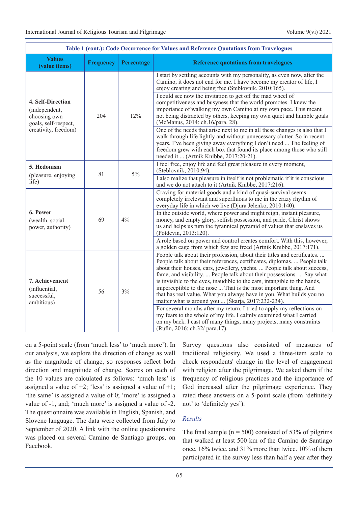| Table 1 (cont.): Code Occurrence for Values and Reference Quotations from Travelogues              |                  |            |                                                                                                                                                                                                                                                                                                                                                                                                                                                                                                                                                                                          |  |  |
|----------------------------------------------------------------------------------------------------|------------------|------------|------------------------------------------------------------------------------------------------------------------------------------------------------------------------------------------------------------------------------------------------------------------------------------------------------------------------------------------------------------------------------------------------------------------------------------------------------------------------------------------------------------------------------------------------------------------------------------------|--|--|
| <b>Values</b><br>(value items)                                                                     | <b>Frequency</b> | Percentage | <b>Reference quotations from travelogues</b>                                                                                                                                                                                                                                                                                                                                                                                                                                                                                                                                             |  |  |
| 4. Self-Direction<br>(independent,<br>choosing own<br>goals, self-respect,<br>creativity, freedom) | 204              | 12%        | I start by settling accounts with my personality, as even now, after the<br>Camino, it does not end for me. I have become my creator of life, I<br>enjoy creating and being free (Steblovnik, 2010:165).<br>I could see now the invitation to get off the mad wheel of<br>competitiveness and busyness that the world promotes. I knew the<br>importance of walking my own Camino at my own pace. This meant<br>not being distracted by others, keeping my own quiet and humble goals<br>(McManus, 2014: ch.16/para. 28).                                                                |  |  |
|                                                                                                    |                  |            | One of the needs that arise next to me in all these changes is also that I<br>walk through life lightly and without unnecessary clutter. So in recent<br>years, I've been giving away everything I don't need  The feeling of<br>freedom grew with each box that found its place among those who still<br>needed it  (Artnik Knibbe, 2017:20-21).                                                                                                                                                                                                                                        |  |  |
| 5. Hedonism                                                                                        | 81               | 5%         | I feel free, enjoy life and feel great pleasure in every moment,<br>(Steblovnik, 2010:94).                                                                                                                                                                                                                                                                                                                                                                                                                                                                                               |  |  |
| (pleasure, enjoying<br>life)                                                                       |                  |            | I also realize that pleasure in itself is not problematic if it is conscious<br>and we do not attach to it (Artnik Knibbe, 2017:216).                                                                                                                                                                                                                                                                                                                                                                                                                                                    |  |  |
| 6. Power<br>(wealth, social<br>power, authority)                                                   | 69               | 4%         | Craving for material goods and a kind of quasi-survival seems<br>completely irrelevant and superfluous to me in the crazy rhythm of<br>everyday life in which we live (Djura Jelenko, 2010:140).                                                                                                                                                                                                                                                                                                                                                                                         |  |  |
|                                                                                                    |                  |            | In the outside world, where power and might reign, instant pleasure,<br>money, and empty glory, selfish possession, and pride, Christ shows<br>us and helps us turn the tyrannical pyramid of values that enslaves us<br>(Potdevin, 2013:120).                                                                                                                                                                                                                                                                                                                                           |  |  |
|                                                                                                    |                  |            | A role based on power and control creates comfort. With this, however,<br>a golden cage from which few are freed (Artnik Knibbe, 2017:171).                                                                                                                                                                                                                                                                                                                                                                                                                                              |  |  |
| 7. Achievement<br>(influential,<br>successful,<br>ambitious)                                       | 56               | 3%         | People talk about their profession, about their titles and certificates.<br>People talk about their references, certificates, diplomas.  People talk<br>about their houses, cars, jewellery, yachts.  People talk about success,<br>fame, and visibility.  People talk about their possessions.  Say what<br>is invisible to the eyes, inaudible to the ears, intangible to the hands,<br>imperceptible to the nose  That is the most important thing. And<br>that has real value. What you always have in you. What builds you no<br>matter what is around you  (Škarja, 2017:232-234). |  |  |
|                                                                                                    |                  |            | For several months after my return, I tried to apply my reflections on<br>my fears to the whole of my life. I calmly examined what I carried<br>on my back. I cast off many things, many projects, many constraints<br>(Rufin, 2016: ch.32/ para.17).                                                                                                                                                                                                                                                                                                                                    |  |  |

on a 5-point scale (from 'much less' to 'much more'). In our analysis, we explore the direction of change as well as the magnitude of change, so responses reflect both direction and magnitude of change. Scores on each of the 10 values are calculated as follows: 'much less' is assigned a value of  $+2$ ; 'less' is assigned a value of  $+1$ ; 'the same' is assigned a value of 0; 'more' is assigned a value of -1, and; 'much more' is assigned a value of -2. The questionnaire was available in English, Spanish, and Slovene language. The data were collected from July to September of 2020. A link with the online questionnaire was placed on several Camino de Santiago groups, on Facebook.

Survey questions also consisted of measures of traditional religiosity. We used a three-item scale to check respondents' change in the level of engagement with religion after the pilgrimage. We asked them if the frequency of religious practices and the importance of God increased after the pilgrimage experience. They rated these answers on a 5-point scale (from 'definitely not' to 'definitely yes').

## *Results*

The final sample ( $n = 500$ ) consisted of 53% of pilgrims that walked at least 500 km of the Camino de Santiago once, 16% twice, and 31% more than twice. 10% of them participated in the survey less than half a year after they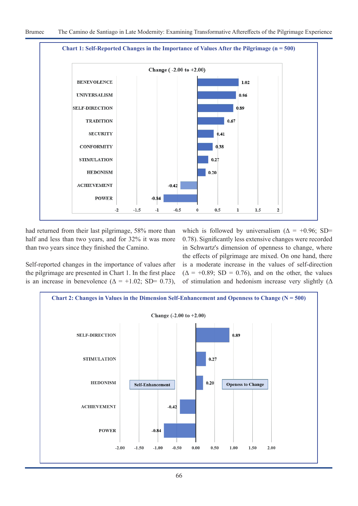

had returned from their last pilgrimage, 58% more than half and less than two years, and for 32% it was more than two years since they finished the Camino.

Self-reported changes in the importance of values after the pilgrimage are presented in Chart 1. In the first place is an increase in benevolence ( $\Delta = +1.02$ ; SD= 0.73),

which is followed by universalism ( $\Delta$  = +0.96; SD= 0.78). Significantly less extensive changes were recorded in Schwartz's dimension of openness to change, where the effects of pilgrimage are mixed. On one hand, there is a moderate increase in the values of self-direction  $(\Delta = +0.89; SD = 0.76)$ , and on the other, the values of stimulation and hedonism increase very slightly  $($ 

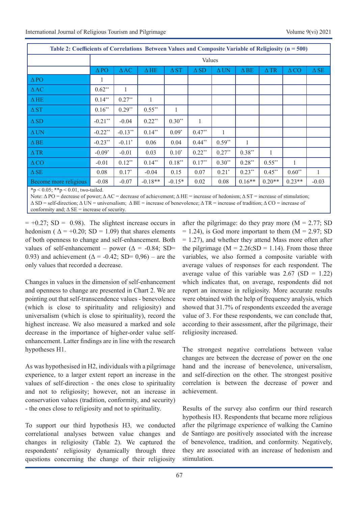| Table 2: Coefficients of Correlations Between Values and Composite Variable of Religiosity ( $n = 500$ ) |                |                |                |              |                |             |                |                |                |              |
|----------------------------------------------------------------------------------------------------------|----------------|----------------|----------------|--------------|----------------|-------------|----------------|----------------|----------------|--------------|
|                                                                                                          | Values         |                |                |              |                |             |                |                |                |              |
|                                                                                                          | $\triangle$ PO | $\triangle$ AC | $\triangle$ HE | $\Delta ST$  | $\triangle$ SD | $\Delta$ UN | $\triangle$ BE | $\triangle$ TR | $\triangle CO$ | $\Delta SE$  |
| $\triangle$ PO                                                                                           |                |                |                |              |                |             |                |                |                |              |
| $\triangle$ AC                                                                                           | $0.62**$       | 1              |                |              |                |             |                |                |                |              |
| $\Delta H E$                                                                                             | $0.14***$      | $0.27**$       | 1              |              |                |             |                |                |                |              |
| $\Delta ST$                                                                                              | $0.16**$       | $0.29**$       | $0.55***$      | $\mathbf{1}$ |                |             |                |                |                |              |
| $\triangle$ SD                                                                                           | $-0.21***$     | $-0.04$        | $0.22**$       | $0.30**$     | $\mathbf{1}$   |             |                |                |                |              |
| $\Delta$ UN                                                                                              | $-0.22**$      | $-0.13**$      | $0.14***$      | $0.09*$      | $0.47**$       | 1           |                |                |                |              |
| $\triangle$ BE                                                                                           | $-0.23**$      | $-0.11*$       | 0.06           | 0.04         | $0.44***$      | $0.59**$    | 1              |                |                |              |
| $\Delta$ TR                                                                                              | $-0.09*$       | $-0.01$        | 0.03           | $0.10*$      | $0.22**$       | $0.27**$    | $0.38**$       | $\mathbf{1}$   |                |              |
| $\triangle CO$                                                                                           | $-0.01$        | $0.12**$       | $0.14**$       | $0.18***$    | $0.17**$       | $0.30**$    | $0.28**$       | $0.55***$      | $\mathbf{1}$   |              |
| $\Delta SE$                                                                                              | 0.08           | $0.17*$        | $-0.04$        | 0.15         | 0.07           | $0.21*$     | $0.23**$       | $0.45**$       | $0.60**$       | $\mathbf{1}$ |
| Become more religious                                                                                    | $-0.08$        | $-0.07$        | $-0.18**$      | $-0.15*$     | 0.02           | 0.08        | $0.16**$       | $0.20**$       | $0.23**$       | $-0.03$      |
| *p < 0.05; **p < 0.01, two-tailed.                                                                       |                |                |                |              |                |             |                |                |                |              |

Note:  $Δ PO =$  decrease of power;  $Δ AC =$  decrease of achievement;  $Δ HE =$  increase of hedonism;  $Δ ST =$  increase of stimulation;  $\Delta$  SD = self-direction;  $\Delta$  UN = universalism;  $\Delta$  BE = increase of benevolence;  $\Delta$  TR = increase of tradition;  $\Delta$  CO = increase of conformity and;  $\Delta SE$  = increase of security.

 $= +0.27$ ; SD = 0.98). The slightest increase occurs in hedonism ( $\Delta$  = +0.20; SD = 1.09) that shares elements of both openness to change and self-enhancement. Both values of self-enhancement – power ( $\Delta$  = -0.84; SD= 0.93) and achievement ( $\Delta$  = -0.42; SD= 0,96) – are the only values that recorded a decrease.

Changes in values in the dimension of self-enhancement and openness to change are presented in Chart 2. We are pointing out that self-transcendence values - benevolence (which is close to spirituality and religiosity) and universalism (which is close to spirituality), record the highest increase. We also measured a marked and sole decrease in the importance of higher-order value selfenhancement. Latter findings are in line with the research hypotheses H1.

As was hypothesised in H2, individuals with a pilgrimage experience, to a larger extent report an increase in the values of self-direction - the ones close to spirituality and not to religiosity; however, not an increase in conservation values (tradition, conformity, and security) - the ones close to religiosity and not to spirituality.

To support our third hypothesis H3*,* we conducted correlational analyses between value changes and changes in religiosity (Table 2). We captured the respondents' religiosity dynamically through three questions concerning the change of their religiosity

after the pilgrimage: do they pray more  $(M = 2.77; SD)$  $= 1.24$ ), is God more important to them (M  $= 2.97$ ; SD = 1.27), and whether they attend Mass more often after the pilgrimage ( $M = 2.26$ ; SD = 1.14). From those three variables, we also formed a composite variable with average values of responses for each respondent. The average value of this variable was  $2.67$  (SD = 1.22) which indicates that, on average, respondents did not report an increase in religiosity. More accurate results were obtained with the help of frequency analysis, which showed that 31.7% of respondents exceeded the average value of 3. For these respondents, we can conclude that, according to their assessment, after the pilgrimage, their religiosity increased.

The strongest negative correlations between value changes are between the decrease of power on the one hand and the increase of benevolence, universalism, and self-direction on the other. The strongest positive correlation is between the decrease of power and achievement.

Results of the survey also confirm our third research hypothesis H3. Respondents that became more religious after the pilgrimage experience of walking the Camino de Santiago are positively associated with the increase of benevolence, tradition, and conformity. Negatively, they are associated with an increase of hedonism and stimulation.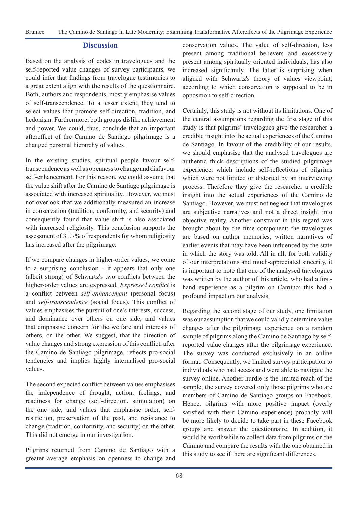#### **Discussion**

Based on the analysis of codes in travelogues and the self-reported value changes of survey participants, we could infer that findings from travelogue testimonies to a great extent align with the results of the questionnaire. Both, authors and respondents, mostly emphasise values of self-transcendence. To a lesser extent, they tend to select values that promote self-direction, tradition, and hedonism. Furthermore, both groups dislike achievement and power. We could, thus, conclude that an important aftereffect of the Camino de Santiago pilgrimage is a changed personal hierarchy of values.

In the existing studies, spiritual people favour selftranscendence as well as openness to change and disfavour self-enhancement. For this reason, we could assume that the value shift after the Camino de Santiago pilgrimage is associated with increased spirituality. However, we must not overlook that we additionally measured an increase in conservation (tradition, conformity, and security) and consequently found that value shift is also associated with increased religiosity. This conclusion supports the assessment of 31.7% of respondents for whom religiosity has increased after the pilgrimage.

If we compare changes in higher-order values, we come to a surprising conclusion - it appears that only one (albeit strong) of Schwartz's two conflicts between the higher-order values are expressed. *Expressed conflict* is a conflict between *self-enhancement* (personal focus) and *self-transcendence* (social focus). This conflict of values emphasises the pursuit of one's interests, success, and dominance over others on one side, and values that emphasise concern for the welfare and interests of others, on the other. We suggest, that the direction of value changes and strong expression of this conflict, after the Camino de Santiago pilgrimage, reflects pro-social tendencies and implies highly internalised pro-social values.

The second expected conflict between values emphasises the independence of thought, action, feelings, and readiness for change (self-direction, stimulation) on the one side; and values that emphasise order, selfrestriction, preservation of the past, and resistance to change (tradition, conformity, and security) on the other. This did not emerge in our investigation.

Pilgrims returned from Camino de Santiago with a greater average emphasis on openness to change and conservation values. The value of self-direction, less present among traditional believers and excessively present among spiritually oriented individuals, has also increased significantly. The latter is surprising when aligned with Schwartz's theory of values viewpoint, according to which conservation is supposed to be in opposition to self-direction.

Certainly, this study is not without its limitations. One of the central assumptions regarding the first stage of this study is that pilgrims' travelogues give the researcher a credible insight into the actual experiences of the Camino de Santiago. In favour of the credibility of our results, we should emphasise that the analysed travelogues are authentic thick descriptions of the studied pilgrimage experience, which include self-reflections of pilgrims which were not limited or distorted by an interviewing process. Therefore they give the researcher a credible insight into the actual experiences of the Camino de Santiago. However, we must not neglect that travelogues are subjective narratives and not a direct insight into objective reality. Another constraint in this regard was brought about by the time component; the travelogues are based on author memories; written narratives of earlier events that may have been influenced by the state in which the story was told. All in all, for both validity of our interpretations and much-appreciated sincerity, it is important to note that one of the analysed travelogues was written by the author of this article, who had a firsthand experience as a pilgrim on Camino; this had a profound impact on our analysis.

Regarding the second stage of our study, one limitation was our assumption that we could validly determine value changes after the pilgrimage experience on a random sample of pilgrims along the Camino de Santiago by selfreported value changes after the pilgrimage experience. The survey was conducted exclusively in an online format. Consequently, we limited survey participation to individuals who had access and were able to navigate the survey online. Another hurdle is the limited reach of the sample; the survey covered only those pilgrims who are members of Camino de Santiago groups on Facebook. Hence, pilgrims with more positive impact (overly satisfied with their Camino experience) probably will be more likely to decide to take part in these Facebook groups and answer the questionnaire. In addition, it would be worthwhile to collect data from pilgrims on the Camino and compare the results with the one obtained in this study to see if there are significant differences.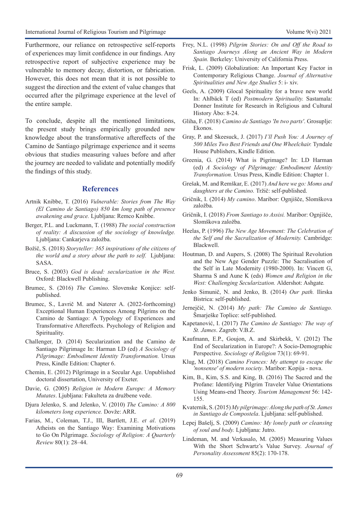Furthermore, our reliance on retrospective self-reports of experiences may limit confidence in our findings. Any retrospective report of subjective experience may be vulnerable to memory decay, distortion, or fabrication. However, this does not mean that it is not possible to suggest the direction and the extent of value changes that occurred after the pilgrimage experience at the level of the entire sample.

To conclude, despite all the mentioned limitations, the present study brings empirically grounded new knowledge about the transformative aftereffects of the Camino de Santiago pilgrimage experience and it seems obvious that studies measuring values before and after the journey are needed to validate and potentially modify the findings of this study.

#### **References**

- Artnik Knibbe, T. (2016) *Vulnerable: Stories from The Way (El Camino de Santiago) 850 km long path of presence awakening and grace.* Ljubljana: Remco Knibbe.
- Berger, P.L. and Luckmann, T. (1988) *The social construction of reality: A discussion of the sociology of knowledge.* Ljubljana: Cankarjeva založba.
- Božič, S. (2018) *Storyteller: 365 inspirations of the citizens of the world and a story about the path to self.* Ljubljana: SASA.
- Bruce, S. (2003) *God is dead: secularization in the West.*  Oxford: Blackwell Publishing.
- Brumec, S. (2016) *The Camino*. Slovenske Konjice: selfpublished.
- Brumec, S., Lavrič M. and Naterer A. (2022-forthcoming) Exceptional Human Experiences Among Pilgrims on the Camino de Santiago: A Typology of Experiences and Transformative Aftereffects. Psychology of Religion and Spirituality.
- Challenger, D. (2014) Secularization and the Camino de Santiago Pilgrimage In: Harman LD (ed) *A Sociology of Pilgrimage: Embodiment Identity Transformation.* Ursus Press, Kindle Edition: Chapter 6.
- Chemin, E. (2012) Pilgrimage in a Secular Age. Unpublished doctoral dissertation, University of Exeter.
- Davie, G. (2005) *Religion in Modern Europe: A Memory Mutates*. Ljubljana: Fakulteta za družbene vede.
- Djura Jelenko, S. and Jelenko, V. (2010) *The Camino: A 800 kilometers long experience.* Dovže: ARR.
- Farias, M., Coleman, T.J., III, Bartlett, J.E. *et al*. (2019) Atheists on the Santiago Way: Examining Motivations to Go On Pilgrimage. *Sociology of Religion: A Quarterly Review* 80(1): 28–44.
- Frey, N.L. (1998) *Pilgrim Stories: On and Off the Road to Santiago Journeys Along an Ancient Way in Modern Spain.* Berkeley: University of California Press.
- Frisk, L. (2009) Globalization: An Important Key Factor in Contemporary Religious Change. *Journal of Alternative Spiritualities and New Age Studies* 5: i- xiv.
- Geels, A. (2009) Glocal Spirituality for a brave new world In: Ahlbäck T (ed) *Postmodern Spirituality.* Sastamala: Donner Institute for Research in Religious and Cultural History Åbo: 8-24.
- Gliha, F. (2018) *Camino de Santiago 'In two parts'*. Grosuplje: Ekonos.
- Gray, P. and Skeesuck, J. (2017) *I'll Push You: A Journey of 500 Miles Two Best Friends and One Wheelchair.* Tyndale House Publishers, Kindle Edition.
- Greenia, G. (2014) What is Pigrimage? In: LD Harman (ed) *A Sociology of Pilgrimage: Embodiment Identity Transformation.* Ursus Press, Kindle Edition: Chapter 1.
- Grešak, M. and Remškar, E. (2017) *And here we go: Moms and daughters at the Camino.* Tržič: self-published.
- Gričnik, I. (2014) *My camino*. Maribor: Ognjišče, Slomškova založba.
- Gričnik, I. (2018) *From Santiago to Assisi.* Maribor: Ognjišče, Slomškova založba.
- Heelas, P. (1996) *The New Age Movement: The Celebration of the Self and the Sacralization of Modernity.* Cambridge: Blackwell.
- Houtman, D. and Aupers, S. (2008) The Spiritual Revolution and the New Age Gender Puzzle: The Sacralisation of the Self in Late Modernity (1980-2000). In: Vincett G, Sharma S and Aune K (eds) *Women and Religion in the West: Challenging Secularization.* Aldershot: Ashgate*.*
- Jenko Simunič, N. and Jenko, B. (2014) *Our path.* Ilirska Bistrica: self-published.
- Jernejčič, N. (2014) *My path: The Camino de Santiago.*  Šmarješke Toplice: self-published.
- Kapetanović, I. (2017) *The Camino de Santiago: The way of St. James*. Zagreb: V.B.Z.
- Kaufmann, E.P., Goujon, A. and Skirbekk, V. (2012) The End of Secularization in Europe?: A Socio-Demographic Perspective. *Sociology of Religion* 73(1): 69-91.
- Klug, M. (2018) *Camino Frances: My attempt to escape the 'nonsense' of modern society*. Maribor: Kopija - nova.
- Kim, B., Kim, S.S. and King, B. (2016) The Sacred and the Profane: Identifying Pilgrim Traveler Value Orientations Using Means-end Theory. *Tourism Management* 56: 142- 155.
- Kvaternik, S. (2015) *My pilgrimage: Along the path of St. James in Santiago de Compostela*. Ljubljana: self-published.
- Lepej Bašelj, S. (2009) *Camino: My lonely path or cleansing of soul and body.* Ljubljana: Jutro.
- Lindeman, M. and Verkasalo, M. (2005) Measuring Values With the Short Schwartz's Value Survey. *Journal of Personality Assessment* 85(2): 170-178.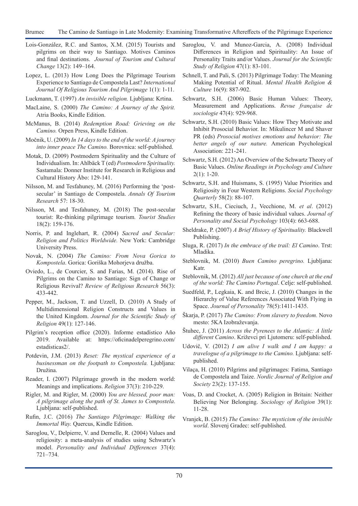- Lois-González, R.C. and Santos, X.M. (2015) Tourists and pilgrims on their way to Santiago. Motives Caminos and final destinations. *Journal of Tourism and Cultural Change* 13(2): 149–164.
- Lopez, L. (2013) How Long Does the Pilgrimage Tourism Experience to Santiago de Compostela Last? *International Journal Of Religious Tourism And Pilgrimage* 1(1): 1-11.
- Luckmann, T. (1997) *An invisible religion.* Ljubljana: Krtina.
- MacLaine, S. (2000) *The Camino: A Journey of the Spirit.*  Atria Books, Kindle Edition.
- McManus, B. (2014) *Redemption Road: Grieving on the Camino.* Orpen Press, Kindle Edition.
- Močnik, U. (2009) *In 14 days to the end of the world: A journey into inner peace The Camino.* Borovnica: self-published.
- Motak, D. (2009) Postmodern Spirituality and the Culture of Individualism. In: Ahlbäck T (ed) *Postmodern Spirituality.*  Sastamala: Donner Institute for Research in Religious and Cultural History Åbo: 129-141.
- Nilsson, M. and Tesfahuney, M. (2016) Performing the 'postsecular' in Santiago de Compostela. *Annals Of Tourism Research* 57: 18-30.
- Nilsson, M. and Tesfahuney, M. (2018) The post-secular tourist: Re-thinking pilgrimage tourism*. Tourist Studies* 18(2): 159-176.
- Norris, P. and Inglehart, R. (2004) *Sacred and Secular: Religion and Politics Worldwide.* New York: Cambridge University Press.
- Novak, N. (2004) *The Camino: From Nova Gorica to Kompostela*. Gorica: Goriška Mohorjeva družba.
- Oviedo, L., de Courcier, S. and Farias, M. (2014). Rise of Pilgrims on the Camino to Santiago: Sign of Change or Religious Revival? *Review of Religious Research* 56(3): 433-442.
- Pepper, M., Jackson, T. and Uzzell, D. (2010) A Study of Multidimensional Religion Constructs and Values in the United Kingdom. *Journal for the Scientific Study of Religion* 49(1): 127-146.
- Pilgrim's reception office (2020). Informe estadístico Año 2019. Available at: https://oficinadelperegrino.com/ estadisticas2/.
- Potdevin, J.M. (2013) *Reset: The mystical experience of a businessman on the footpath to Compostela.* Ljubljana: Družina.
- Reader, I. (2007) Pilgrimage growth in the modern world: Meanings and implications. *Religion* 37(3): 210-229.
- Rigler, M. and Rigler, M. (2000) *You are blessed, poor man: A pilgrimage along the path of St. James to Compostela*. Ljubljana: self-published.
- Rufin, J.C. (2016) *The Santiago Pilgrimage: Walking the Immortal Way.* Quercus, Kindle Edition.
- Saroglou, V., Delpierre, V. and Dernelle, R. (2004) Values and religiosity: a meta-analysis of studies using Schwartz's model. *Personality and Individual Differences* 37(4): 721–734.
- Saroglou, V. and Munoz-Garcia, A. (2008) Individual Differences in Religion and Spirituality: An Issue of Personality Traits and/or Values. *Journal for the Scientific Study of Religion* 47(1): 83-101.
- Schnell, T. and Pali, S. (2013) Pilgrimage Today: The Meaning Making Potential of Ritual. *Mental Health Religion & Culture* 16(9): 887-902.
- Schwartz, S.H. (2006) Basic Human Values: Theory, Measurement and Applications. *Revue française de sociologie* 47(4): 929-968.
- Schwartz, S.H. (2010) Basic Values: How They Motivate and Inhibit Prosocial Behavior. In: Mikulincer M and Shaver PR (eds) *Prosocial motives emotions and behavior: The better angels of our nature.* American Psychological Association: 221-241.
- Schwartz, S.H. (2012) An Overview of the Schwartz Theory of Basic Values. *Online Readings in Psychology and Culture*  2(1): 1-20.
- Schwartz, S.H. and Huismans, S. (1995) Value Priorities and Religiosity in Four Western Religions. *Social Psychology Quarterly* 58(2): 88-107.
- Schwartz, S.H., Cieciuch, J., Vecchione, M. *et al*. (2012) Refining the theory of basic individual values. *Journal of Personality and Social Psychology* 103(4): 663-688.
- Sheldrake, P. (2007) *A Brief History of Spirituality.* Blackwell Publishing.
- Sluga, R. (2017) *In the embrace of the trail: El Camino*. Trst: Mladika.
- Steblovnik, M. (2010) *Buen Camino peregrino.* Ljubljana: Katr.
- Steblovnik, M. (2012) *All just because of one church at the end of the world: The Camino Portugal*. Celje: self-published.
- Suedfeld, P., Legkaia, K. and Brcic, J. (2010) Changes in the Hierarchy of Value References Associated With Flying in Space. *Journal of Personality* 78(5):1411-1435.
- Škarja, P. (2017) *The Camino: From slavery to freedom.* Novo mesto: 5KA Izobraževanja.
- Štuhec, J. (2011) *Across the Pyrenees to the Atlantic: A little different Camino*. Križevci pri Ljutomeru: self-published.
- Udovič, V. (2012) *I am alive I walk and I am happy: a travelogue of a pilgrimage to the Camino.* Ljubljana: selfpublished.
- Vilaça, H. (2010) Pilgrims and pilgrimages: Fatima, Santiago de Compostela and Taize. *Nordic Journal of Religion and Society* 23(2): 137-155.
- Voas, D. and Crocket, A. (2005) Religion in Britain: Neither Believing Nor Belonging. *Sociology of Religion* 39(1): 11-28.
- Vranjek, B. (2015) *The Camino: The mysticism of the invisible world*. Slovenj Gradec: self-published.